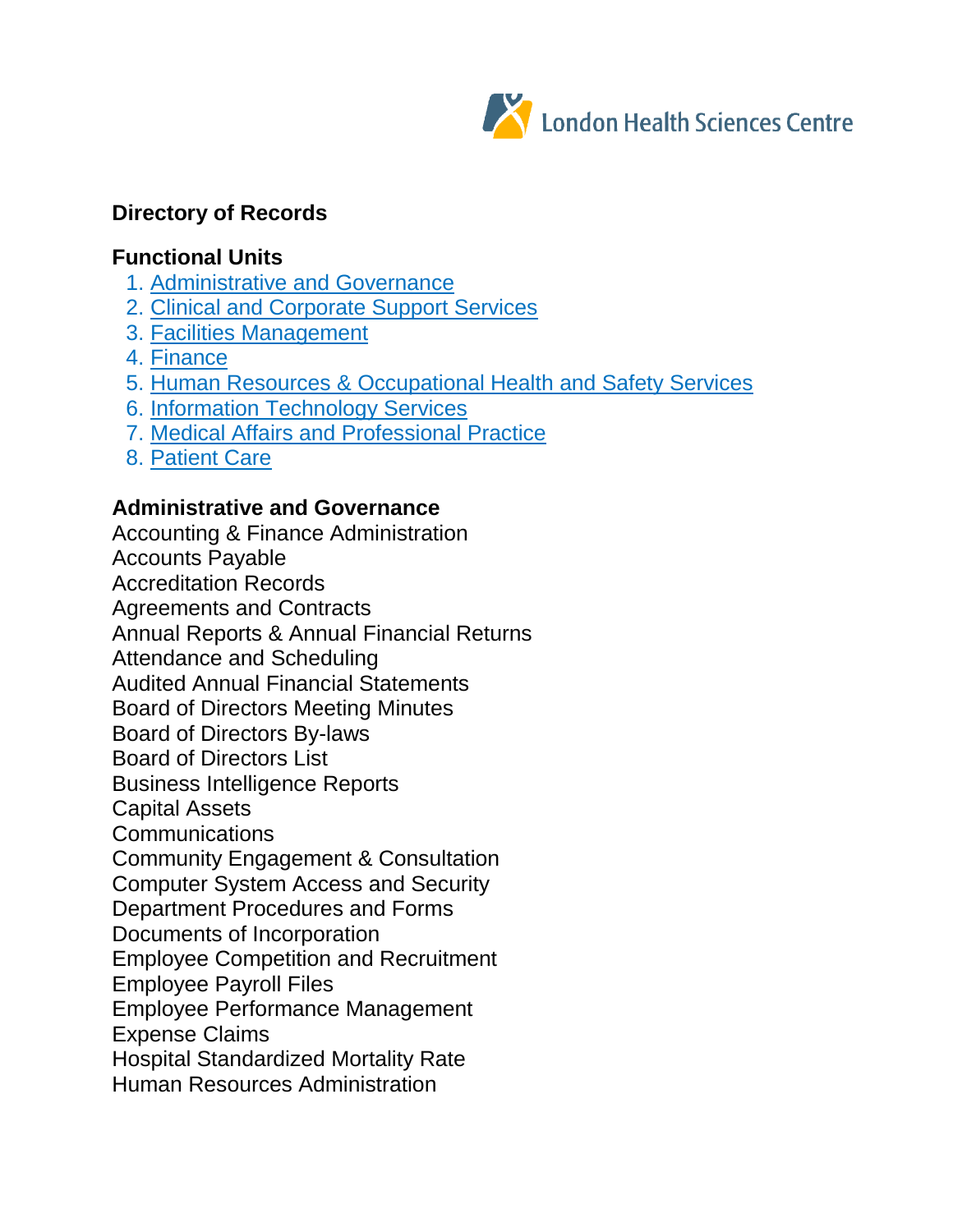

# **Directory of Records**

## **Functional Units**

- 1. Administrative and Governance
- 2. Clinical and Corporate Support Services
- 3. Facilities Management
- 4. Finance
- 5. Human Resources & Occupational Health and Safety Services
- 6. Information Technology Services
- 7. Medical Affairs and Professional Practice
- 8. Patient Care

## **Administrative and Governance**

Accounting & Finance Administration Accounts Payable Accreditation Records Agreements and Contracts Annual Reports & Annual Financial Returns Attendance and Scheduling Audited Annual Financial Statements Board of Directors Meeting Minutes Board of Directors By-laws Board of Directors List Business Intelligence Reports Capital Assets **Communications** Community Engagement & Consultation Computer System Access and Security Department Procedures and Forms Documents of Incorporation Employee Competition and Recruitment Employee Payroll Files Employee Performance Management Expense Claims Hospital Standardized Mortality Rate Human Resources Administration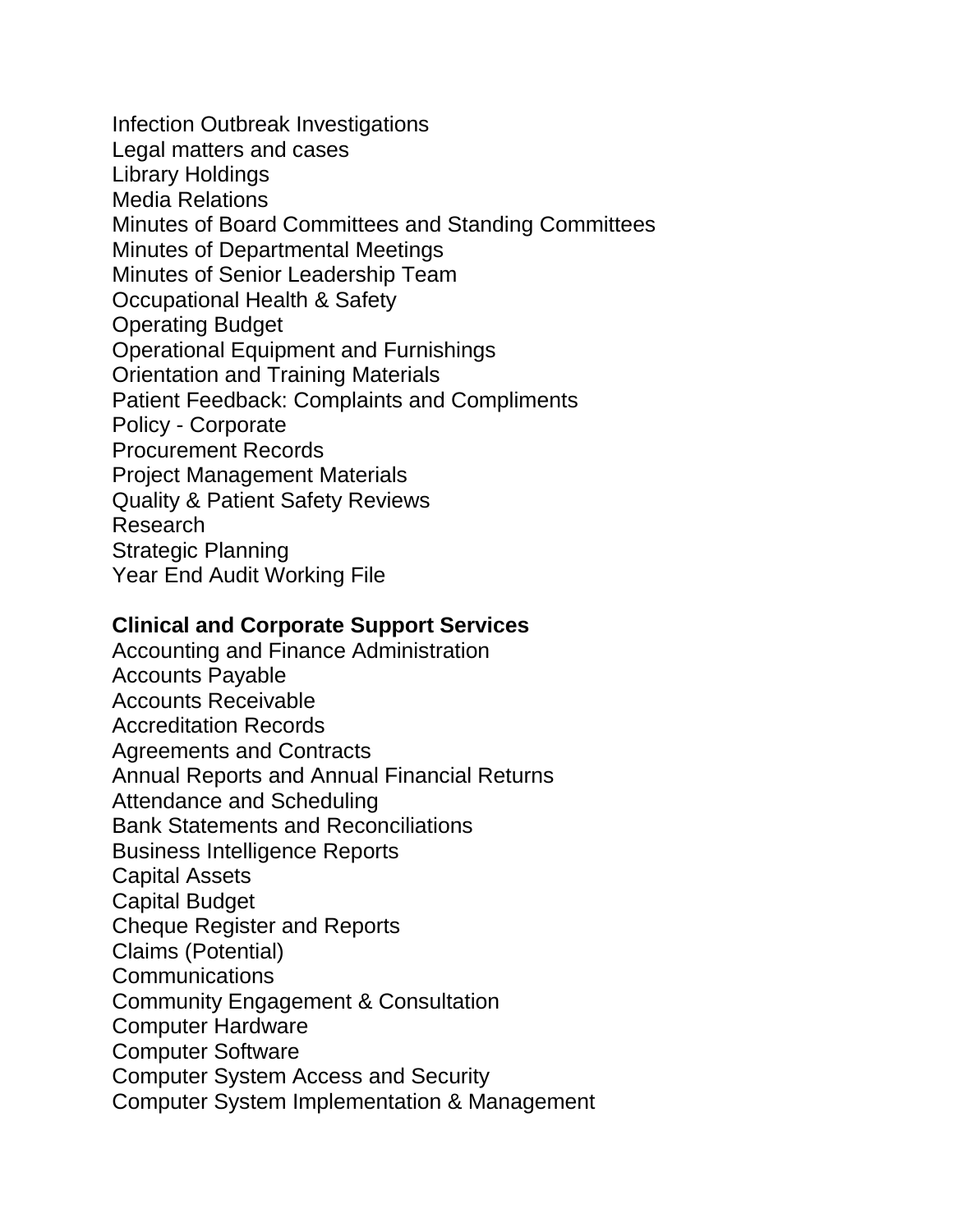Infection Outbreak Investigations Legal matters and cases Library Holdings Media Relations Minutes of Board Committees and Standing Committees Minutes of Departmental Meetings Minutes of Senior Leadership Team Occupational Health & Safety Operating Budget Operational Equipment and Furnishings Orientation and Training Materials Patient Feedback: Complaints and Compliments Policy - Corporate Procurement Records Project Management Materials Quality & Patient Safety Reviews Research Strategic Planning Year End Audit Working File

### **Clinical and Corporate Support Services**

Accounting and Finance Administration Accounts Payable Accounts Receivable Accreditation Records Agreements and Contracts Annual Reports and Annual Financial Returns Attendance and Scheduling Bank Statements and Reconciliations Business Intelligence Reports Capital Assets Capital Budget Cheque Register and Reports Claims (Potential) **Communications** Community Engagement & Consultation Computer Hardware Computer Software Computer System Access and Security Computer System Implementation & Management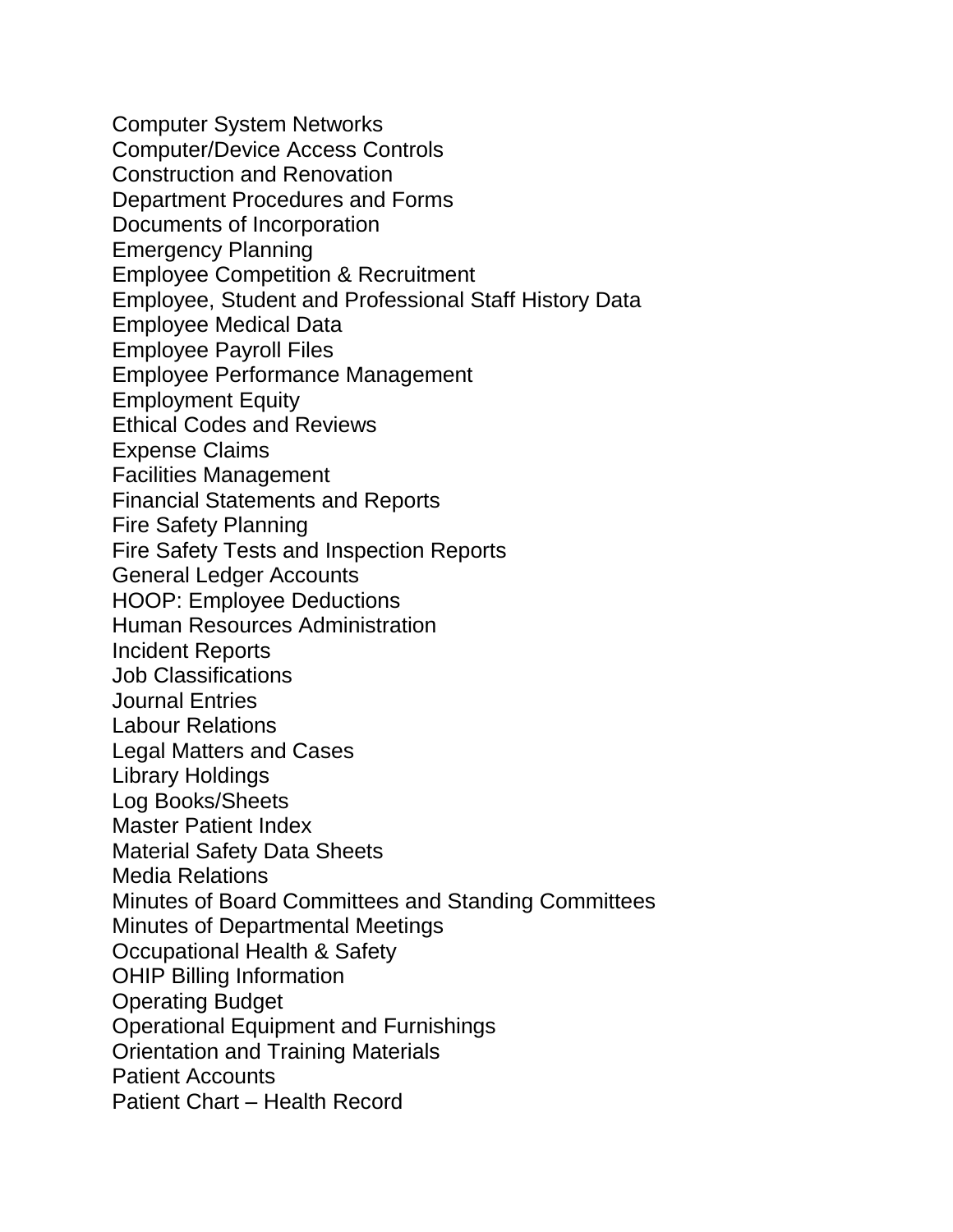Computer System Networks Computer/Device Access Controls Construction and Renovation Department Procedures and Forms Documents of Incorporation Emergency Planning Employee Competition & Recruitment Employee, Student and Professional Staff History Data Employee Medical Data Employee Payroll Files Employee Performance Management Employment Equity Ethical Codes and Reviews Expense Claims Facilities Management Financial Statements and Reports Fire Safety Planning Fire Safety Tests and Inspection Reports General Ledger Accounts HOOP: Employee Deductions Human Resources Administration Incident Reports Job Classifications Journal Entries Labour Relations Legal Matters and Cases Library Holdings Log Books/Sheets Master Patient Index Material Safety Data Sheets Media Relations Minutes of Board Committees and Standing Committees Minutes of Departmental Meetings Occupational Health & Safety OHIP Billing Information Operating Budget Operational Equipment and Furnishings Orientation and Training Materials Patient Accounts Patient Chart – Health Record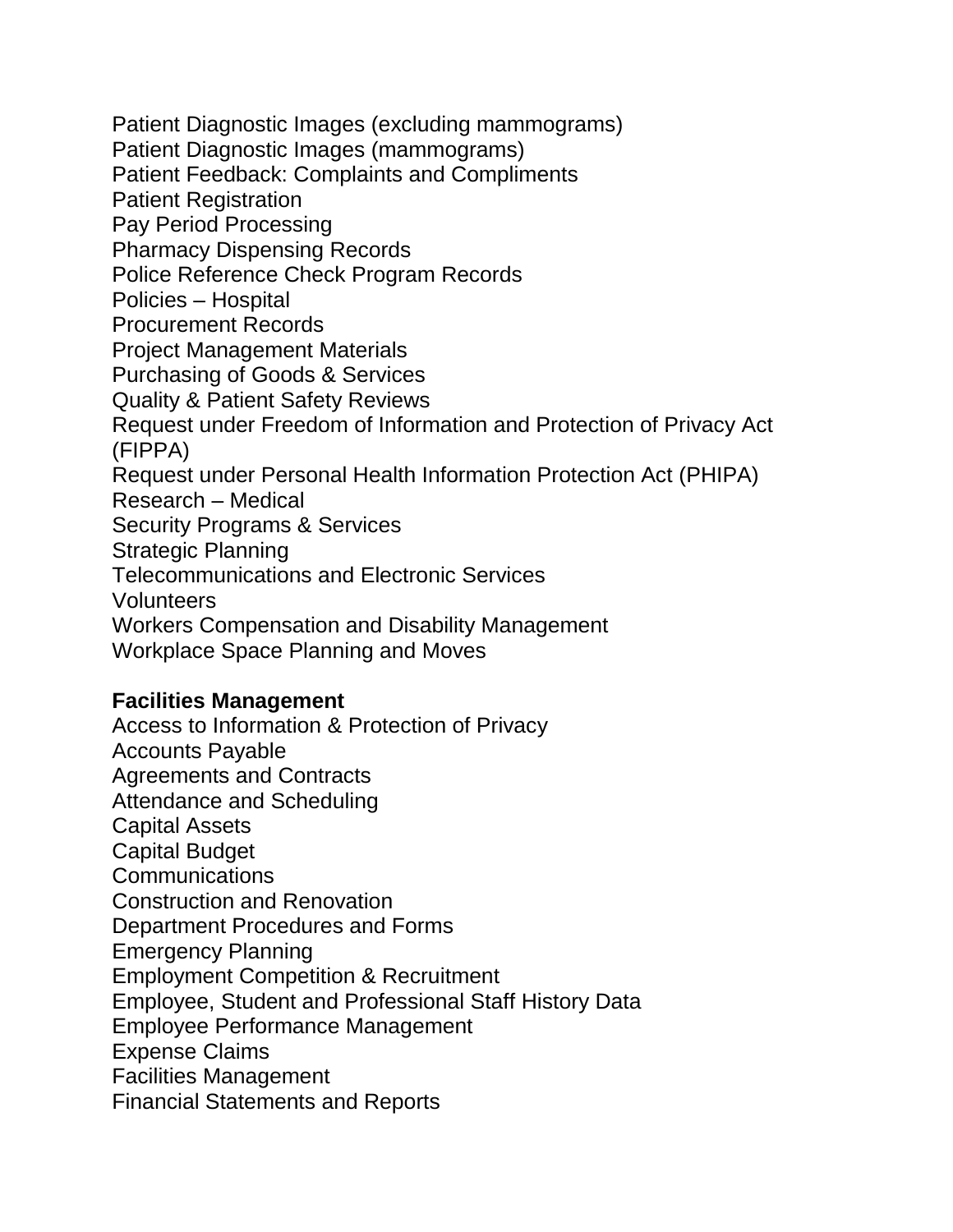Patient Diagnostic Images (excluding mammograms) Patient Diagnostic Images (mammograms) Patient Feedback: Complaints and Compliments Patient Registration Pay Period Processing Pharmacy Dispensing Records Police Reference Check Program Records Policies – Hospital Procurement Records Project Management Materials Purchasing of Goods & Services Quality & Patient Safety Reviews Request under Freedom of Information and Protection of Privacy Act (FIPPA) Request under Personal Health Information Protection Act (PHIPA) Research – Medical Security Programs & Services Strategic Planning Telecommunications and Electronic Services Volunteers Workers Compensation and Disability Management Workplace Space Planning and Moves

### **Facilities Management**

Access to Information & Protection of Privacy Accounts Payable Agreements and Contracts Attendance and Scheduling Capital Assets Capital Budget Communications Construction and Renovation Department Procedures and Forms Emergency Planning Employment Competition & Recruitment Employee, Student and Professional Staff History Data Employee Performance Management Expense Claims Facilities Management Financial Statements and Reports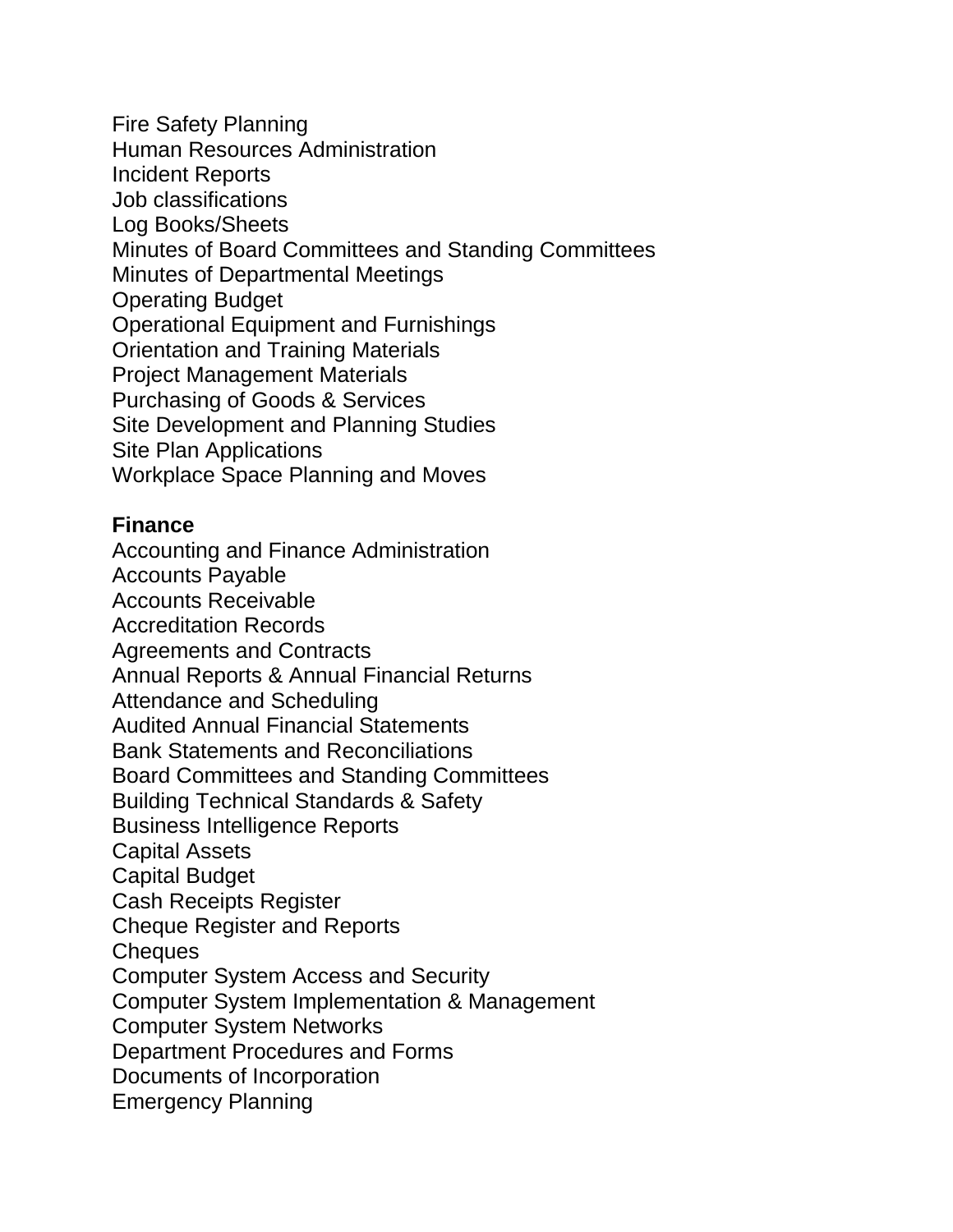Fire Safety Planning Human Resources Administration Incident Reports Job classifications Log Books/Sheets Minutes of Board Committees and Standing Committees Minutes of Departmental Meetings Operating Budget Operational Equipment and Furnishings Orientation and Training Materials Project Management Materials Purchasing of Goods & Services Site Development and Planning Studies Site Plan Applications Workplace Space Planning and Moves

### **Finance**

Accounting and Finance Administration Accounts Payable Accounts Receivable Accreditation Records Agreements and Contracts Annual Reports & Annual Financial Returns Attendance and Scheduling Audited Annual Financial Statements Bank Statements and Reconciliations Board Committees and Standing Committees Building Technical Standards & Safety Business Intelligence Reports Capital Assets Capital Budget Cash Receipts Register Cheque Register and Reports Cheques Computer System Access and Security Computer System Implementation & Management Computer System Networks Department Procedures and Forms Documents of Incorporation Emergency Planning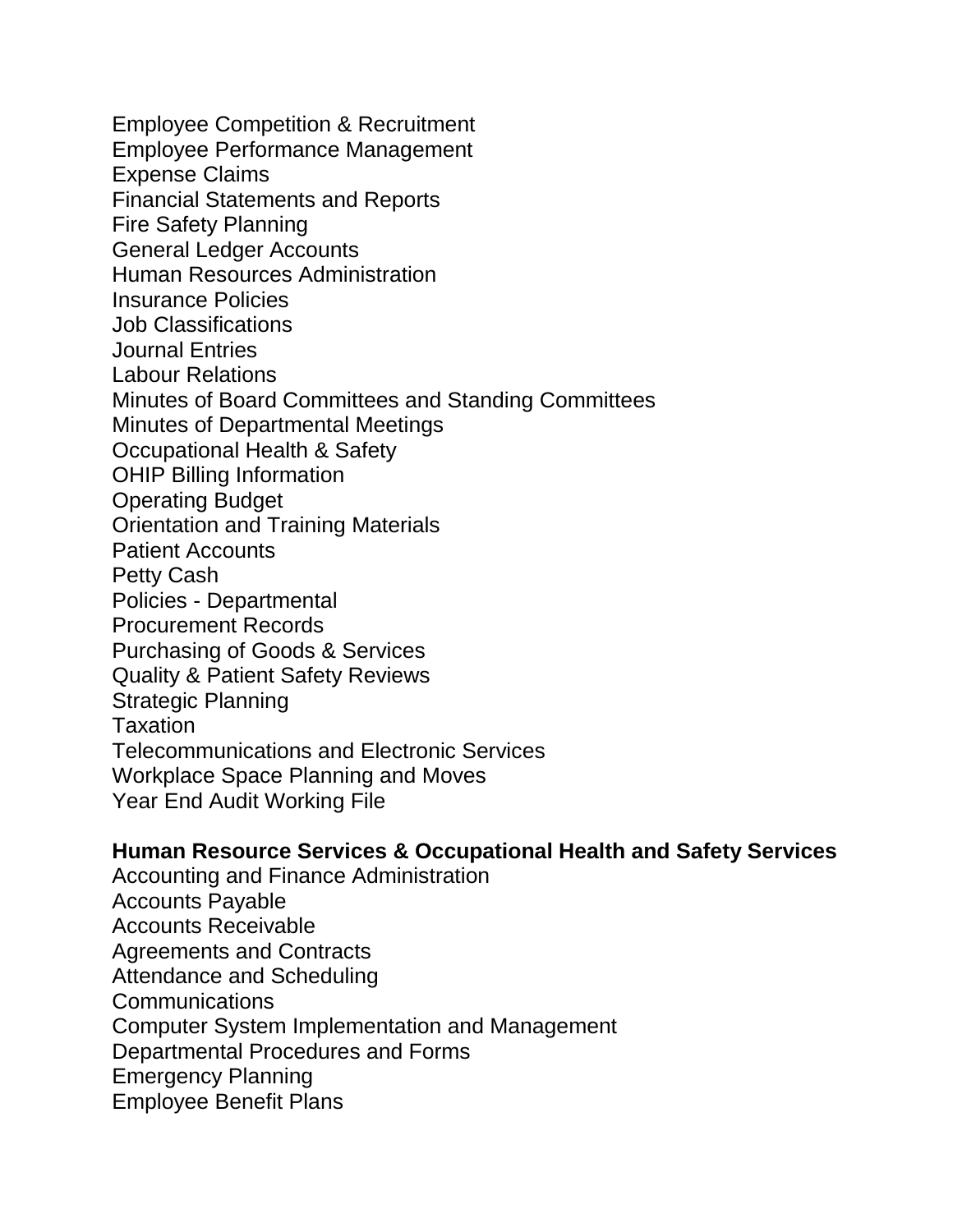Employee Competition & Recruitment Employee Performance Management Expense Claims Financial Statements and Reports Fire Safety Planning General Ledger Accounts Human Resources Administration Insurance Policies Job Classifications Journal Entries Labour Relations Minutes of Board Committees and Standing Committees Minutes of Departmental Meetings Occupational Health & Safety OHIP Billing Information Operating Budget Orientation and Training Materials Patient Accounts Petty Cash Policies - Departmental Procurement Records Purchasing of Goods & Services Quality & Patient Safety Reviews Strategic Planning Taxation Telecommunications and Electronic Services Workplace Space Planning and Moves Year End Audit Working File

#### **Human Resource Services & Occupational Health and Safety Services**

Accounting and Finance Administration Accounts Payable Accounts Receivable Agreements and Contracts Attendance and Scheduling Communications Computer System Implementation and Management Departmental Procedures and Forms Emergency Planning Employee Benefit Plans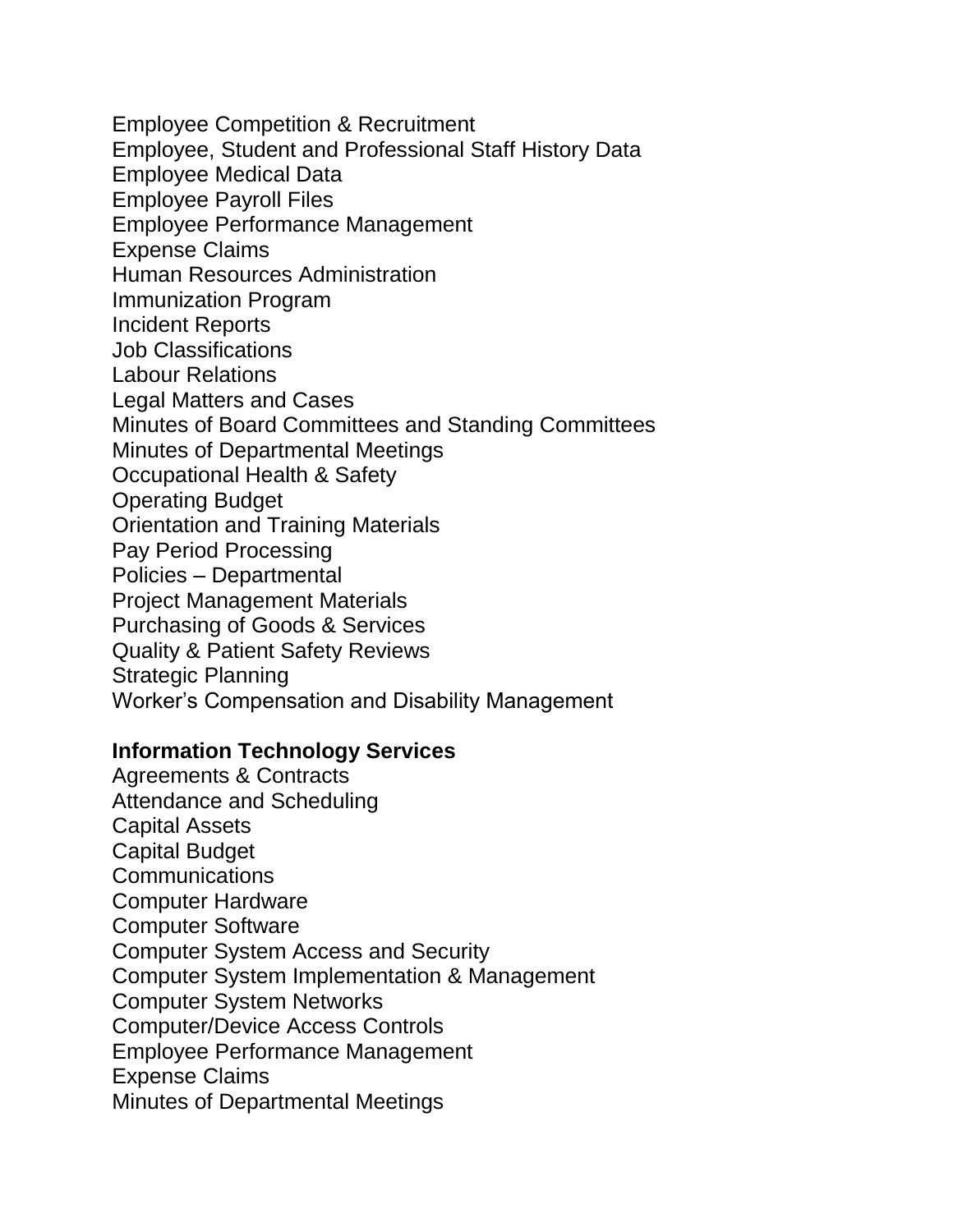Employee Competition & Recruitment Employee, Student and Professional Staff History Data Employee Medical Data Employee Payroll Files Employee Performance Management Expense Claims Human Resources Administration Immunization Program Incident Reports Job Classifications Labour Relations Legal Matters and Cases Minutes of Board Committees and Standing Committees Minutes of Departmental Meetings Occupational Health & Safety Operating Budget Orientation and Training Materials Pay Period Processing Policies – Departmental Project Management Materials Purchasing of Goods & Services Quality & Patient Safety Reviews Strategic Planning Worker's Compensation and Disability Management

### **Information Technology Services**

Agreements & Contracts Attendance and Scheduling Capital Assets Capital Budget **Communications** Computer Hardware Computer Software Computer System Access and Security Computer System Implementation & Management Computer System Networks Computer/Device Access Controls Employee Performance Management Expense Claims Minutes of Departmental Meetings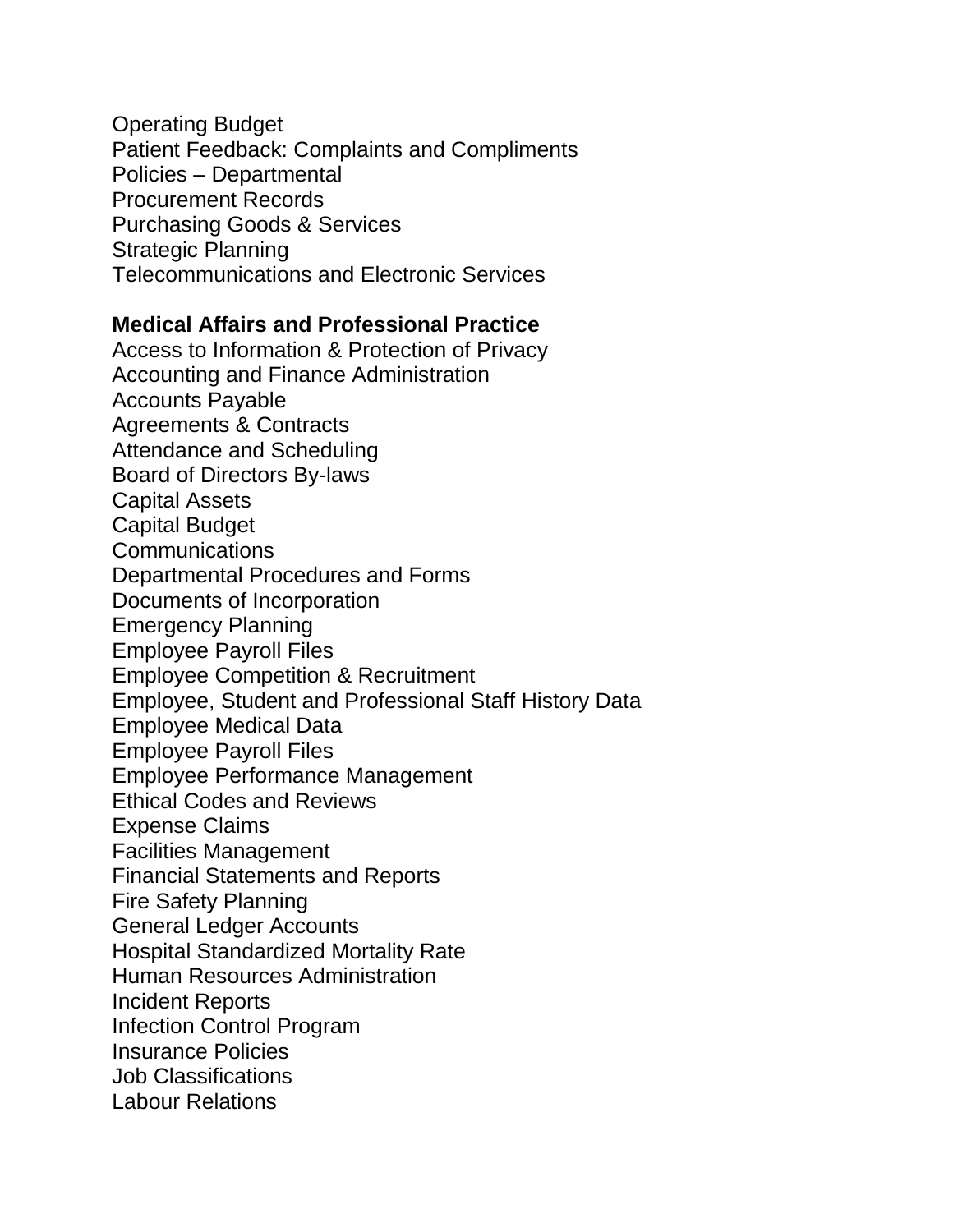Operating Budget Patient Feedback: Complaints and Compliments Policies – Departmental Procurement Records Purchasing Goods & Services Strategic Planning Telecommunications and Electronic Services

### **Medical Affairs and Professional Practice**

Access to Information & Protection of Privacy Accounting and Finance Administration Accounts Payable Agreements & Contracts Attendance and Scheduling Board of Directors By-laws Capital Assets Capital Budget **Communications** Departmental Procedures and Forms Documents of Incorporation Emergency Planning Employee Payroll Files Employee Competition & Recruitment Employee, Student and Professional Staff History Data Employee Medical Data Employee Payroll Files Employee Performance Management Ethical Codes and Reviews Expense Claims Facilities Management Financial Statements and Reports Fire Safety Planning General Ledger Accounts Hospital Standardized Mortality Rate Human Resources Administration Incident Reports Infection Control Program Insurance Policies Job Classifications Labour Relations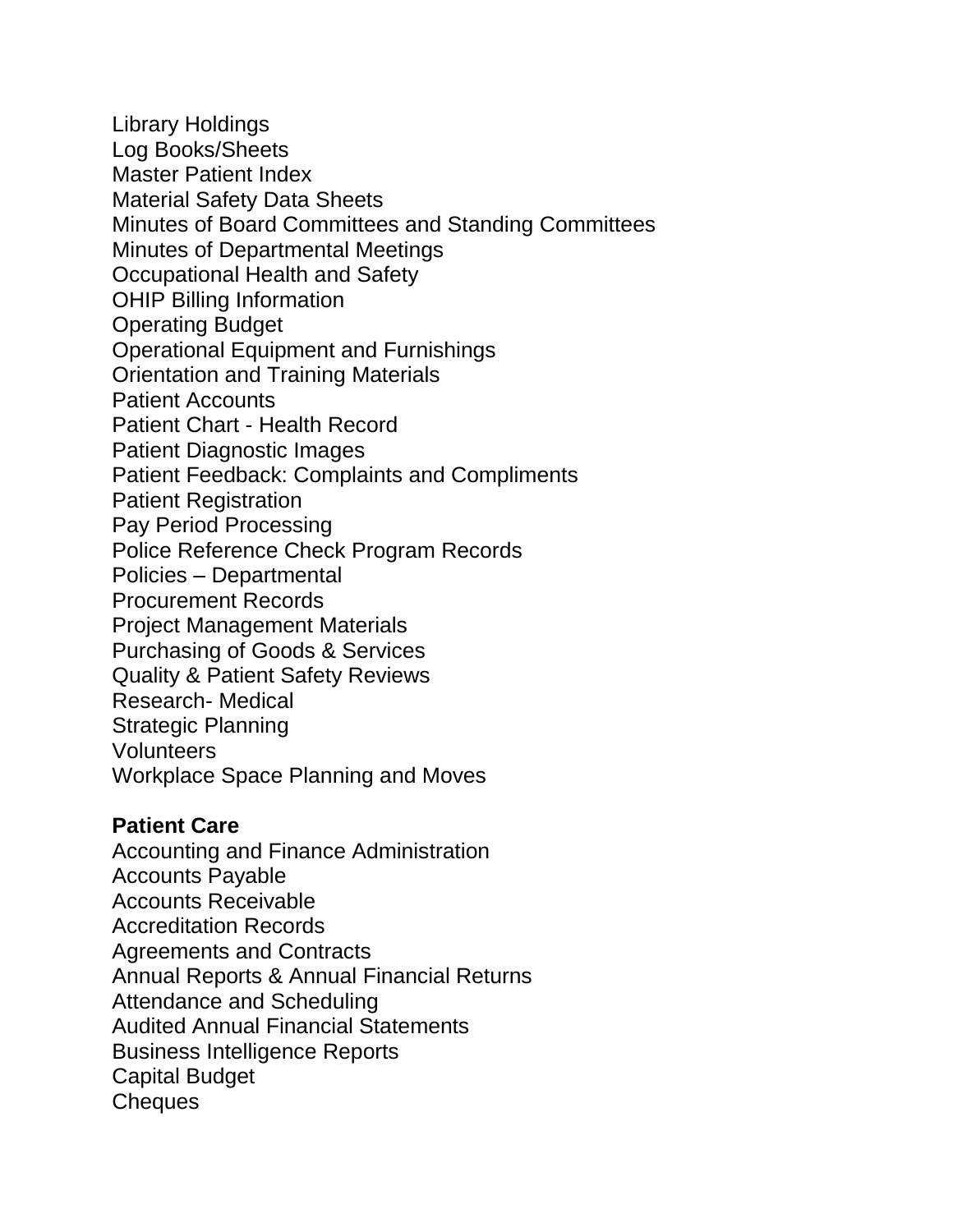Library Holdings Log Books/Sheets Master Patient Index Material Safety Data Sheets Minutes of Board Committees and Standing Committees Minutes of Departmental Meetings Occupational Health and Safety OHIP Billing Information Operating Budget Operational Equipment and Furnishings Orientation and Training Materials Patient Accounts Patient Chart - Health Record Patient Diagnostic Images Patient Feedback: Complaints and Compliments Patient Registration Pay Period Processing Police Reference Check Program Records Policies – Departmental Procurement Records Project Management Materials Purchasing of Goods & Services Quality & Patient Safety Reviews Research- Medical Strategic Planning Volunteers Workplace Space Planning and Moves

### **Patient Care**

Accounting and Finance Administration Accounts Payable Accounts Receivable Accreditation Records Agreements and Contracts Annual Reports & Annual Financial Returns Attendance and Scheduling Audited Annual Financial Statements Business Intelligence Reports Capital Budget Cheques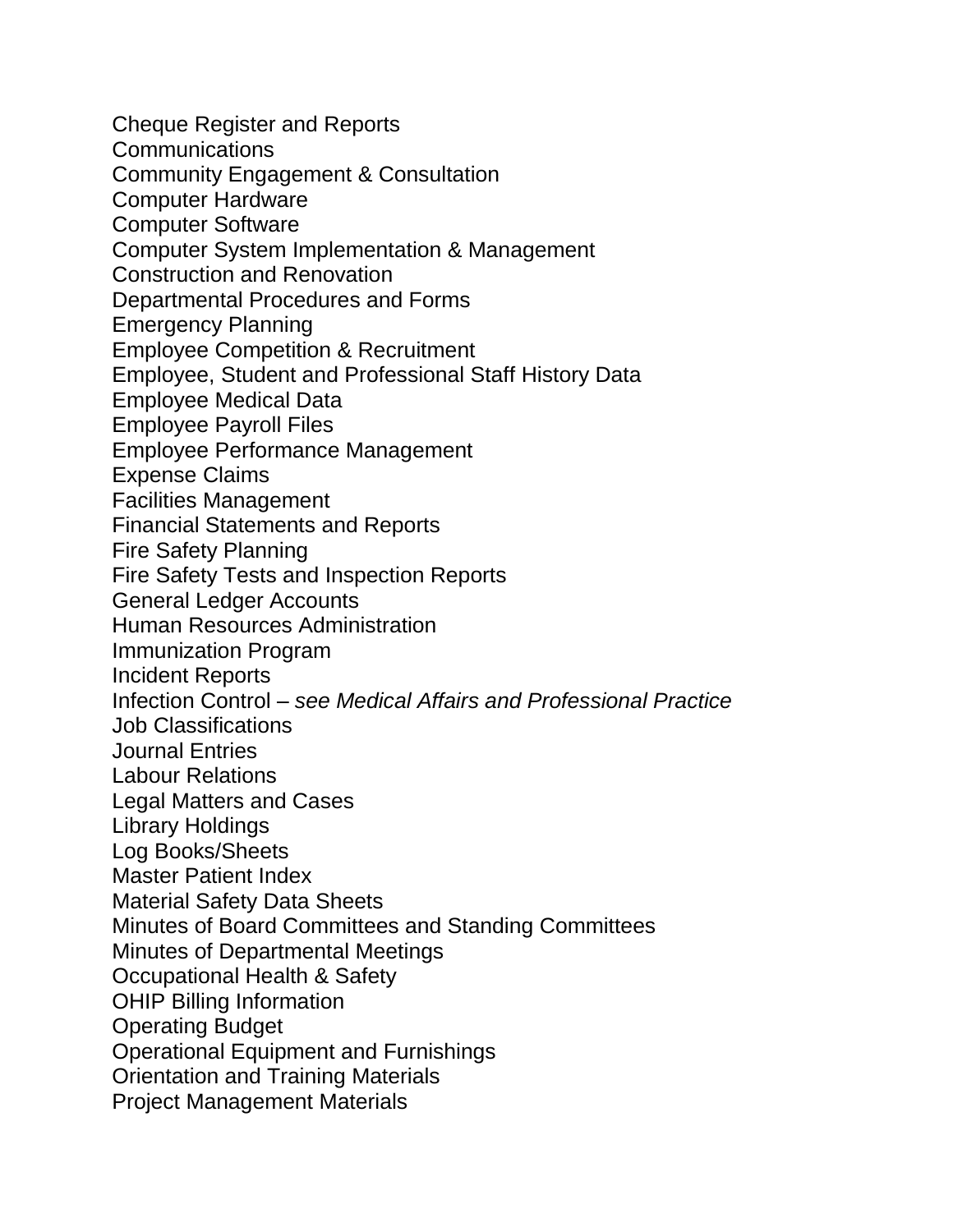Cheque Register and Reports Communications Community Engagement & Consultation Computer Hardware Computer Software Computer System Implementation & Management Construction and Renovation Departmental Procedures and Forms Emergency Planning Employee Competition & Recruitment Employee, Student and Professional Staff History Data Employee Medical Data Employee Payroll Files Employee Performance Management Expense Claims Facilities Management Financial Statements and Reports Fire Safety Planning Fire Safety Tests and Inspection Reports General Ledger Accounts Human Resources Administration Immunization Program Incident Reports Infection Control *– see Medical Affairs and Professional Practice* Job Classifications Journal Entries Labour Relations Legal Matters and Cases Library Holdings Log Books/Sheets Master Patient Index Material Safety Data Sheets Minutes of Board Committees and Standing Committees Minutes of Departmental Meetings Occupational Health & Safety OHIP Billing Information Operating Budget Operational Equipment and Furnishings Orientation and Training Materials Project Management Materials